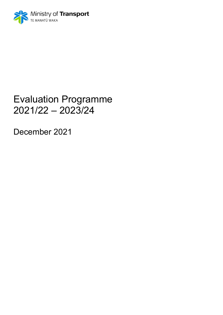

## Evaluation Programme 2021/22 – 2023/24

December 2021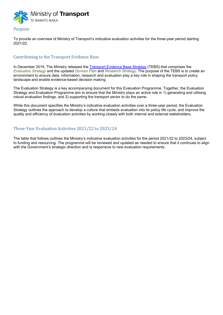

## Purpose

To provide an overview of Ministry of Transport's indicative evaluation activities for the three-year period starting 2021/22.

## Contributing to the Transport Evidence Base

In December 2019, The Ministry released the Transport Evidence Base Strategy (TEBS) that comprises the Evaluation Strategy and the updated Domain Plan and Research Strategy. The purpose of the TEBS is to create an environment to ensure data, information, research and evaluation play a key role in shaping the transport policy landscape and enable evidence-based decision making.

The Evaluation Strategy is a key accompanying document for this Evaluation Programme. Together, the Evaluation Strategy and Evaluation Programme aim to ensure that the Ministry plays an active role in 1) generating and utilising robust evaluation findings, and 2) supporting the transport sector to do the same.

While this document specifies the Ministry's indicative evaluation activities over a three-year period, the Evaluation Strategy outlines the approach to develop a culture that embeds evaluation into its policy life cycle, and improve the quality and efficiency of evaluation activities by working closely with both internal and external stakeholders.

## Three-Year Evaluation Activities 2021/22 to 2023/24

The table that follows outlines the Ministry's indicative evaluation activities for the period 2021/22 to 2023/24, subject to funding and resourcing. The programme will be reviewed and updated as needed to ensure that it continues to align with the Government's strategic direction and is responsive to new evaluation requirements.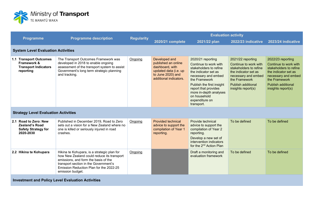

|                                                                                           | <b>Programme description</b>                                                                                                                                                                                                              | <b>Regularity</b> | <b>Evaluation activity</b>                                                                                                      |                                                                                                                                                                                                                                                                     |                                                                                                                                                                                  |                                                                                                                                                                                  |  |  |
|-------------------------------------------------------------------------------------------|-------------------------------------------------------------------------------------------------------------------------------------------------------------------------------------------------------------------------------------------|-------------------|---------------------------------------------------------------------------------------------------------------------------------|---------------------------------------------------------------------------------------------------------------------------------------------------------------------------------------------------------------------------------------------------------------------|----------------------------------------------------------------------------------------------------------------------------------------------------------------------------------|----------------------------------------------------------------------------------------------------------------------------------------------------------------------------------|--|--|
| <b>Programme</b>                                                                          |                                                                                                                                                                                                                                           |                   | 2020/21 complete                                                                                                                | 2021/22 plan                                                                                                                                                                                                                                                        | 2022/23 indicative                                                                                                                                                               | 2023/24 indicative                                                                                                                                                               |  |  |
| <b>System Level Evaluation Activities</b>                                                 |                                                                                                                                                                                                                                           |                   |                                                                                                                                 |                                                                                                                                                                                                                                                                     |                                                                                                                                                                                  |                                                                                                                                                                                  |  |  |
| 1.1 Transport Outcomes<br>Framework &<br><b>Transport Indicators</b><br>reporting         | The Transport Outcomes Framework was<br>developed in 2018 to enable ongoing<br>assessment of the transport system to assist<br>Government's long term strategic planning<br>and tracking.                                                 | Ongoing           | Developed and<br>published an online<br>dashboard, with<br>updated data (i.e. up<br>to June 2020) and<br>additional indicators. | 2020/21 reporting<br>Continue to work with<br>stakeholders to refine<br>the indicator set as<br>necessary and embed<br>the Framework<br>Publish the first insight<br>report that provides<br>more in-depth analyses<br>on household<br>expenditure on<br>transport. | 2021/22 reporting<br>Continue to work with<br>stakeholders to refine<br>the indicator set as<br>necessary and embed<br>the Framework<br>Publish additional<br>insights report(s) | 2022/23 reporting<br>Continue to work with<br>stakeholders to refine<br>the indicator set as<br>necessary and embed<br>the Framework<br>Publish additional<br>insights report(s) |  |  |
| <b>Strategy Level Evaluation Activities</b>                                               |                                                                                                                                                                                                                                           |                   |                                                                                                                                 |                                                                                                                                                                                                                                                                     |                                                                                                                                                                                  |                                                                                                                                                                                  |  |  |
| 2.1 Road to Zero: New<br><b>Zealand's Road</b><br><b>Safety Strategy for</b><br>2020-2030 | Published in December 2019, Road to Zero<br>sets out a vision for a New Zealand where no<br>one is killed or seriously injured in road<br>crashes.                                                                                        | Ongoing           | <b>Provided technical</b><br>advice to support the<br>compilation of Year 1<br>reporting.                                       | Provide technical<br>advice to support the<br>compilation of Year 2<br>reporting.<br>Develop a new set of<br>intervention indicators<br>for the 2 <sup>nd</sup> Action Plan                                                                                         | To be defined                                                                                                                                                                    | To be defined                                                                                                                                                                    |  |  |
| 2.2 Hikina te Kohupara                                                                    | Hikina te Kohupara, is a strategic plan for<br>how New Zealand could reduce its transport<br>emissions, and form the basis of the<br>transport section in the Government's<br>Emission Reduction Plan for the 2022-25<br>emission budget. | Ongoing           |                                                                                                                                 | Draft a monitoring and<br>evaluation framework                                                                                                                                                                                                                      | To be defined                                                                                                                                                                    | To be defined                                                                                                                                                                    |  |  |
| <b>Investment and Policy Level Evaluation Activities</b>                                  |                                                                                                                                                                                                                                           |                   |                                                                                                                                 |                                                                                                                                                                                                                                                                     |                                                                                                                                                                                  |                                                                                                                                                                                  |  |  |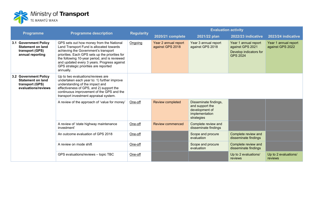

|                                                                                             |                                                                                                                                                                                                                                                        |                                                                                                                                                                                                                                                                                                                                       |                  | <b>Evaluation activity</b>                                                                 |                                             |                                                                                       |                                          |  |
|---------------------------------------------------------------------------------------------|--------------------------------------------------------------------------------------------------------------------------------------------------------------------------------------------------------------------------------------------------------|---------------------------------------------------------------------------------------------------------------------------------------------------------------------------------------------------------------------------------------------------------------------------------------------------------------------------------------|------------------|--------------------------------------------------------------------------------------------|---------------------------------------------|---------------------------------------------------------------------------------------|------------------------------------------|--|
| <b>Programme</b>                                                                            | <b>Programme description</b>                                                                                                                                                                                                                           | <b>Regularity</b>                                                                                                                                                                                                                                                                                                                     | 2020/21 complete | 2021/22 plan                                                                               | 2022/23 indicative                          | 2023/24 indicative                                                                    |                                          |  |
|                                                                                             | 3.1 Government Policy<br><b>Statement on land</b><br>transport (GPS)<br>annual reporting                                                                                                                                                               | GPS sets out how money from the National<br>Land Transport Fund is allocated towards<br>achieving the Government's transport<br>priorities. Each GPS sets up the priorities for<br>the following 10-year period, and is reviewed<br>and updated every 3 years. Progress against<br>GPS strategic priorities are reported<br>annually. | Ongoing          | Year 2 annual report<br>against GPS 2018                                                   | Year 3 annual report<br>against GPS 2018    | Year 1 annual report<br>against GPS 2021<br>Develop indicators for<br><b>GPS 2024</b> | Year 1 annual report<br>against GPS 2022 |  |
| 3.2 Government Policy<br><b>Statement on land</b><br>transport (GPS)<br>evaluations/reviews | Up to two evaluations/reviews are<br>undertaken each year to: 1) further improve<br>understanding of the impact and<br>effectiveness of GPS, and 2) support the<br>continuous improvement of the GPS and the<br>transport investment appraisal system. |                                                                                                                                                                                                                                                                                                                                       |                  |                                                                                            |                                             |                                                                                       |                                          |  |
|                                                                                             | A review of the approach of 'value for money'                                                                                                                                                                                                          | One-off                                                                                                                                                                                                                                                                                                                               | Review completed | Disseminate findings,<br>and support the<br>development of<br>implementation<br>strategies |                                             |                                                                                       |                                          |  |
|                                                                                             | A review of 'state highway maintenance<br>investment'                                                                                                                                                                                                  | One-off                                                                                                                                                                                                                                                                                                                               | Review commenced | Complete review and<br>disseminate findings                                                |                                             |                                                                                       |                                          |  |
|                                                                                             | An outcome evaluation of GPS 2018                                                                                                                                                                                                                      | One-off                                                                                                                                                                                                                                                                                                                               |                  | Scope and procure<br>evaluation                                                            | Complete review and<br>disseminate findings |                                                                                       |                                          |  |
|                                                                                             | A review on mode shift                                                                                                                                                                                                                                 | One-off                                                                                                                                                                                                                                                                                                                               |                  | Scope and procure<br>evaluation                                                            | Complete review and<br>disseminate findings |                                                                                       |                                          |  |
|                                                                                             |                                                                                                                                                                                                                                                        | GPS evaluations/reviews - topic TBC                                                                                                                                                                                                                                                                                                   | One-off          |                                                                                            |                                             | Up to 2 evaluations/<br>reviews                                                       | Up to 2 evaluations/<br>reviews          |  |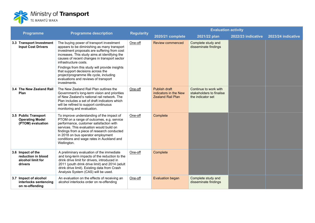

|                                                                         | <b>Programme description</b>                                                                                                                                                                                                                                                                                                   | <b>Regularity</b> | <b>Evaluation activity</b>                                         |                                                                        |                    |                    |
|-------------------------------------------------------------------------|--------------------------------------------------------------------------------------------------------------------------------------------------------------------------------------------------------------------------------------------------------------------------------------------------------------------------------|-------------------|--------------------------------------------------------------------|------------------------------------------------------------------------|--------------------|--------------------|
| <b>Programme</b>                                                        |                                                                                                                                                                                                                                                                                                                                |                   | 2020/21 complete                                                   | 2021/22 plan                                                           | 2022/23 indicative | 2023/24 indicative |
| 3.3 Transport Investment<br><b>Input Cost Drivers</b>                   | The buying power of transport investment<br>appears to be diminishing as many transport<br>investment proposals are suffering from cost<br>increases. This study aims at identifying the<br>causes of recent changes in transport sector<br>infrastructure costs.                                                              | One-off           | <b>Review commenced</b>                                            | Complete study and<br>disseminate findings                             |                    |                    |
|                                                                         | Findings from this study will provide insights<br>that support decisions across the<br>project/programme life cycle, including<br>evaluations and reviews of transport<br>investments.                                                                                                                                         |                   |                                                                    |                                                                        |                    |                    |
| 3.4 The New Zealand Rail<br>Plan                                        | The New Zealand Rail Plan outlines the<br>Government's long-term vision and priorities<br>of New Zealand's national rail network. The<br>Plan includes a set of draft indicators which<br>will be refined to support continuous<br>monitoring and evaluation.                                                                  | One-off           | Publish draft<br>indicators in the New<br><b>Zealand Rail Plan</b> | Continue to work with<br>stakeholders to finalise<br>the indicator set |                    |                    |
| 3.5 Public Transport<br><b>Operating Model</b><br>(PTOM) evaluation     | To improve understanding of the impact of<br>PTOM on a range of outcomes, e.g. service<br>performance, customer satisfaction with<br>services. This evaluation would build on<br>findings from a piece of research conducted<br>in 2018 on bus operator employment<br>conditions and wage rates in Auckland and<br>Wellington. | One-off           | Complete                                                           |                                                                        |                    |                    |
| 3.6 Impact of the<br>reduction in blood<br>alcohol limit for<br>drivers | A preliminary evaluation of the immediate<br>and long-term impacts of the reduction to the<br>drink drive limit for drivers, introduced in<br>2011 (youth drink drive limit) and 2014 (adult<br>drink drive limit). Existing data from Crash<br>Analysis System (CAS) will be used.                                            | One-off           | Complete                                                           |                                                                        |                    |                    |
| 3.7 Impact of alcohol<br>interlocks sentencing<br>on re-offending       | An evaluation on the effects of receiving an<br>alcohol interlocks order on re-offending                                                                                                                                                                                                                                       | One-off           | <b>Evaluation began</b>                                            | Complete study and<br>disseminate findings                             |                    |                    |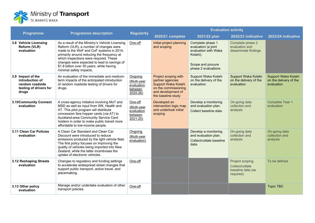

| <b>Programme</b>                                                                           | <b>Programme description</b>                                                                                                                                                                                                                                                                                                                         | <b>Regularity</b>                                           | <b>Evaluation activity</b>                                                                                                          |                                                                                                                         |                                                                       |                                                             |  |
|--------------------------------------------------------------------------------------------|------------------------------------------------------------------------------------------------------------------------------------------------------------------------------------------------------------------------------------------------------------------------------------------------------------------------------------------------------|-------------------------------------------------------------|-------------------------------------------------------------------------------------------------------------------------------------|-------------------------------------------------------------------------------------------------------------------------|-----------------------------------------------------------------------|-------------------------------------------------------------|--|
|                                                                                            |                                                                                                                                                                                                                                                                                                                                                      |                                                             | 2020/21 complete                                                                                                                    | 2021/22 plan                                                                                                            | 2022/23 indicative                                                    | 2023/24 indicative                                          |  |
| 3.8 Vehicle Licensing<br>Reform (VLR)<br>evaluation                                        | As a result of the Ministry's Vehicle Licensing<br>Reform (VLR), a number of changes were<br>made to the WoF and CoF systems in 2014,<br>primarily around reducing the frequency at<br>which inspections were required. These<br>changes were expected to lead to savings of<br>\$1.8 billion over 30 years, while having<br>minimal safety impacts. | One-off                                                     | Initial project planning<br>and scoping                                                                                             | Complete phase 1<br>evaluation (a joint<br>evaluation with Waka<br>Kotahi).<br>Scope and procure<br>phase 2 evaluations | Complete phase 2<br>evaluation and<br>disseminate findings            |                                                             |  |
| 3.9 Impact of the<br>introduction of<br>random roadside<br>testing of drivers for<br>drugs | An evaluation of the immediate and medium-<br>term impacts of the anticipated introduction<br>of random roadside testing of drivers for<br>drugs.                                                                                                                                                                                                    | Ongoing<br>(Multi-year<br>evaluation<br>between<br>2020-26) | Project scoping with<br>partner agencies<br>Support Waka Kotahi<br>on the commissioning<br>and development of<br>the baseline study | Support Waka Kotahi<br>on the delivery of the<br>evaluation                                                             | Support Waka Kotahi<br>on the delivery of the<br>evaluation           | Support Waka Kotahi<br>on the delivery of the<br>evaluation |  |
| 3.10Community Connect<br>evaluation                                                        | A cross-agency initiative involving MoT and<br>MSD as well as input from WK, Health and<br>AT. This pilot program will distribute<br>concession fare hopper cards (via AT) to<br>Auckland-area Community Service Card<br>holders in order to make public transit more<br>affordable to low-income people.                                            | One-off<br>(Multi-year<br>evaluation<br>between<br>2021-25) | Developed an<br>intervention logic map<br>and undertook initial<br>scoping                                                          | Develop a monitoring<br>and evaluation plan.<br>Collect baseline data.                                                  | On-going data<br>collection and<br>analysis                           | <b>Complete Year 1</b><br>evaluation                        |  |
| 3.11 Clean Car Policies<br>evaluation                                                      | A Clean Car Standard and Clean Car<br>Discount were introduced to reduce<br>emissions produced by the light vehicle fleet.<br>The first policy focuses on improving the<br>quality of vehicles being imported into New<br>Zealand, while the latter incentivises the<br>uptake of electronic vehicles.                                               | Ongoing<br>(Multi-year<br>evaluation)                       |                                                                                                                                     | Develop a monitoring<br>and evaluation plan.<br>Collect/collate baseline<br>data.                                       | On-going data<br>collection and<br>analysis                           | On-going data<br>collection and<br>analysis                 |  |
| 3.12 Reshaping Streets<br>evaluation                                                       | Changes to regulatory and funding settings<br>to accelerate widespread street changes that<br>support public transport, active travel, and<br>placemaking.                                                                                                                                                                                           | One-off                                                     |                                                                                                                                     |                                                                                                                         | Project scoping.<br>Collect/collate<br>baseline data (as<br>required) | To be defined                                               |  |
| 3.13 Other policy<br>evaluation                                                            | Manage and/or undertake evaluation of other<br>transport policies.                                                                                                                                                                                                                                                                                   | One-off                                                     |                                                                                                                                     |                                                                                                                         |                                                                       | <b>Topic TBC</b>                                            |  |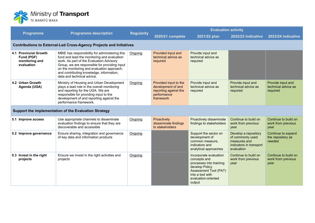

| <b>Programme</b>                                                    | <b>Programme description</b>                                                                                                                                                                                                                                                                                       | <b>Regularity</b> | <b>Evaluation activity</b>                                                                       |                                                                                                                                                                           |                                                                                                   |                                                      |  |
|---------------------------------------------------------------------|--------------------------------------------------------------------------------------------------------------------------------------------------------------------------------------------------------------------------------------------------------------------------------------------------------------------|-------------------|--------------------------------------------------------------------------------------------------|---------------------------------------------------------------------------------------------------------------------------------------------------------------------------|---------------------------------------------------------------------------------------------------|------------------------------------------------------|--|
|                                                                     |                                                                                                                                                                                                                                                                                                                    |                   | 2020/21 complete                                                                                 | 2021/22 plan                                                                                                                                                              | 2022/23 indicative                                                                                | 2023/24 indicative                                   |  |
|                                                                     | <b>Contributions to External-Led Cross-Agency Projects and Initiatives</b>                                                                                                                                                                                                                                         |                   |                                                                                                  |                                                                                                                                                                           |                                                                                                   |                                                      |  |
| 4.1 Provincial Growth<br>Fund (PGF)<br>monitoring and<br>evaluation | MBIE has responsibility for administering this<br>fund and lead the monitoring and evaluation<br>work. As part of the Evaluation Advisory<br>Group, we are responsible for providing input<br>on the monitoring and evaluation approach,<br>and contributing knowledge, information,<br>data and technical advice. | Ongoing           | Provided input and<br>technical advice as<br>required                                            | Provide input and<br>technical advice as<br>required                                                                                                                      |                                                                                                   |                                                      |  |
| 4.2 Urban Growth<br>Agenda (UGA)                                    | Ministry of Housing and Urban Development<br>plays a lead role in the overall monitoring<br>and reporting for the UGA. We are<br>responsible for providing input to the<br>development of and reporting against the<br>performance framework.                                                                      | Ongoing           | Provided input to the<br>development of and<br>reporting against the<br>performance<br>framework | Provide input and<br>technical advice as<br>required                                                                                                                      | Provide input and<br>technical advice as<br>required                                              | Provide input and<br>technical advice as<br>required |  |
|                                                                     | Support the implementation of the Evaluation Strategy                                                                                                                                                                                                                                                              |                   |                                                                                                  |                                                                                                                                                                           |                                                                                                   |                                                      |  |
| 5.1 Improve access                                                  | Use appropriate channels to disseminate<br>evaluation findings to ensure that they are<br>discoverable and accessible                                                                                                                                                                                              | Ongoing           | Proactively<br>disseminate findings<br>to stakeholders                                           | Proactively disseminate<br>findings to stakeholders                                                                                                                       | Continue to build on<br>work from previous<br>year                                                | Continue to build on<br>work from previous<br>year   |  |
| 5.2 Improve governance                                              | Ensure sharing, integration and governance<br>of key data and information products                                                                                                                                                                                                                                 | Ongoing           |                                                                                                  | Support the sector on<br>development of<br>common measure,<br>indicators and<br>analytical approaches                                                                     | Develop a repository<br>of commonly used<br>measures and<br>indicators in transport<br>evaluation | Continue to expand<br>the repository as<br>needed    |  |
| 5.3 Invest in the right<br>projects                                 | Ensure we invest in the right activities and<br>projects                                                                                                                                                                                                                                                           | Ongoing           |                                                                                                  | Incorporate evaluation<br>concepts and<br>processes into training;<br>develop Policy<br><b>Assessment Tool (PAT)</b><br>into a tool with<br>evaluation-oriented<br>output | Continue to build on<br>work from previous<br>year                                                | Continue to build on<br>work from previous<br>year   |  |